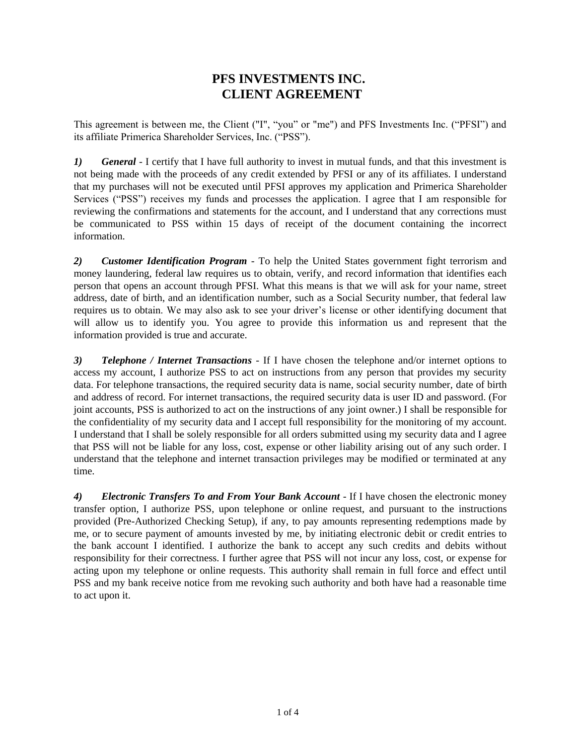## **PFS INVESTMENTS INC. CLIENT AGREEMENT**

This agreement is between me, the Client ("I", "you" or "me") and PFS Investments Inc. ("PFSI") and its affiliate Primerica Shareholder Services, Inc. ("PSS").

*1) General* - I certify that I have full authority to invest in mutual funds, and that this investment is not being made with the proceeds of any credit extended by PFSI or any of its affiliates. I understand that my purchases will not be executed until PFSI approves my application and Primerica Shareholder Services ("PSS") receives my funds and processes the application. I agree that I am responsible for reviewing the confirmations and statements for the account, and I understand that any corrections must be communicated to PSS within 15 days of receipt of the document containing the incorrect information.

*2) Customer Identification Program* - To help the United States government fight terrorism and money laundering, federal law requires us to obtain, verify, and record information that identifies each person that opens an account through PFSI. What this means is that we will ask for your name, street address, date of birth, and an identification number, such as a Social Security number, that federal law requires us to obtain. We may also ask to see your driver's license or other identifying document that will allow us to identify you. You agree to provide this information us and represent that the information provided is true and accurate.

*3) Telephone / Internet Transactions* - If I have chosen the telephone and/or internet options to access my account, I authorize PSS to act on instructions from any person that provides my security data. For telephone transactions, the required security data is name, social security number, date of birth and address of record. For internet transactions, the required security data is user ID and password. (For joint accounts, PSS is authorized to act on the instructions of any joint owner.) I shall be responsible for the confidentiality of my security data and I accept full responsibility for the monitoring of my account. I understand that I shall be solely responsible for all orders submitted using my security data and I agree that PSS will not be liable for any loss, cost, expense or other liability arising out of any such order. I understand that the telephone and internet transaction privileges may be modified or terminated at any time.

4) *Electronic Transfers To and From Your Bank Account - If I have chosen the electronic money* transfer option, I authorize PSS, upon telephone or online request, and pursuant to the instructions provided (Pre-Authorized Checking Setup), if any, to pay amounts representing redemptions made by me, or to secure payment of amounts invested by me, by initiating electronic debit or credit entries to the bank account I identified. I authorize the bank to accept any such credits and debits without responsibility for their correctness. I further agree that PSS will not incur any loss, cost, or expense for acting upon my telephone or online requests. This authority shall remain in full force and effect until PSS and my bank receive notice from me revoking such authority and both have had a reasonable time to act upon it.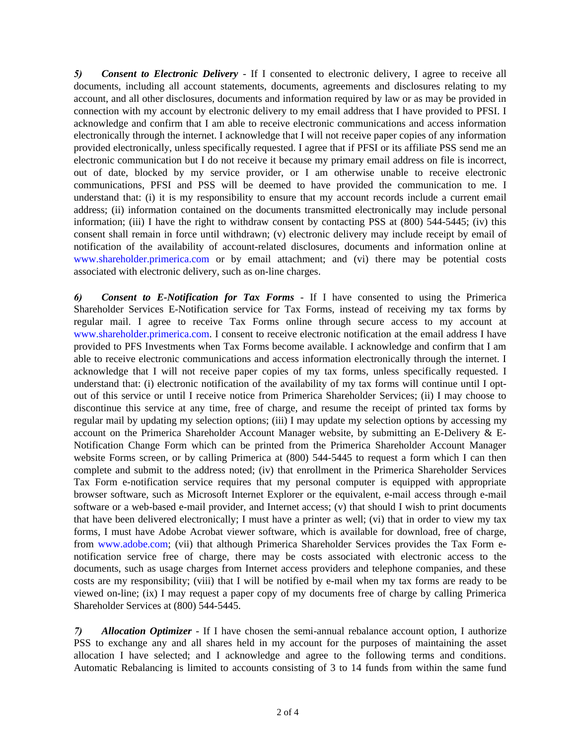*5) Consent to Electronic Delivery* - If I consented to electronic delivery, I agree to receive all documents, including all account statements, documents, agreements and disclosures relating to my account, and all other disclosures, documents and information required by law or as may be provided in connection with my account by electronic delivery to my email address that I have provided to PFSI. I acknowledge and confirm that I am able to receive electronic communications and access information electronically through the internet. I acknowledge that I will not receive paper copies of any information provided electronically, unless specifically requested. I agree that if PFSI or its affiliate PSS send me an electronic communication but I do not receive it because my primary email address on file is incorrect, out of date, blocked by my service provider, or I am otherwise unable to receive electronic communications, PFSI and PSS will be deemed to have provided the communication to me. I understand that: (i) it is my responsibility to ensure that my account records include a current email address; (ii) information contained on the documents transmitted electronically may include personal information; (iii) I have the right to withdraw consent by contacting PSS at (800) 544-5445; (iv) this consent shall remain in force until withdrawn; (v) electronic delivery may include receipt by email of notification of the availability of account-related disclosures, documents and information online at [www.shareholder.primerica.com o](http://www.shareholder.primerica.com/)r by email attachment; and (vi) there may be potential costs associated with electronic delivery, such as on-line charges.

*6) Consent to E-Notification for Tax Forms* - If I have consented to using the Primerica Shareholder Services E-Notification service for Tax Forms, instead of receiving my tax forms by regular mail. I agree to receive Tax Forms online through secure access to my account at [www.shareholder.primerica.com.](http://www.shareholder.primerica.com/) I consent to receive electronic notification at the email address I have provided to PFS Investments when Tax Forms become available. I acknowledge and confirm that I am able to receive electronic communications and access information electronically through the internet. I acknowledge that I will not receive paper copies of my tax forms, unless specifically requested. I understand that: (i) electronic notification of the availability of my tax forms will continue until I optout of this service or until I receive notice from Primerica Shareholder Services; (ii) I may choose to discontinue this service at any time, free of charge, and resume the receipt of printed tax forms by regular mail by updating my selection options; (iii) I may update my selection options by accessing my account on the Primerica Shareholder Account Manager website, by submitting an E-Delivery & E-Notification Change Form which can be printed from the Primerica Shareholder Account Manager website Forms screen, or by calling Primerica at  $(800)$  544-5445 to request a form which I can then complete and submit to the address noted; (iv) that enrollment in the Primerica Shareholder Services Tax Form e-notification service requires that my personal computer is equipped with appropriate browser software, such as Microsoft Internet Explorer or the equivalent, e-mail access through e-mail software or a web-based e-mail provider, and Internet access; (v) that should I wish to print documents that have been delivered electronically; I must have a printer as well; (vi) that in order to view my tax forms, I must have Adobe Acrobat viewer software, which is available for download, free of charge, from www.adobe.com; (vii) that although Primerica Shareholder Services provides the Tax Form enotification service free of charge, there may be costs associated with electronic access to the documents, such as usage charges from Internet access providers and telephone companies, and these costs are my responsibility; (viii) that I will be notified by e-mail when my tax forms are ready to be viewed on-line; (ix) I may request a paper copy of my documents free of charge by calling Primerica Shareholder Services at (800) 544-5445.

*7) Allocation Optimizer* - If I have chosen the semi-annual rebalance account option, I authorize PSS to exchange any and all shares held in my account for the purposes of maintaining the asset allocation I have selected; and I acknowledge and agree to the following terms and conditions. Automatic Rebalancing is limited to accounts consisting of 3 to 14 funds from within the same fund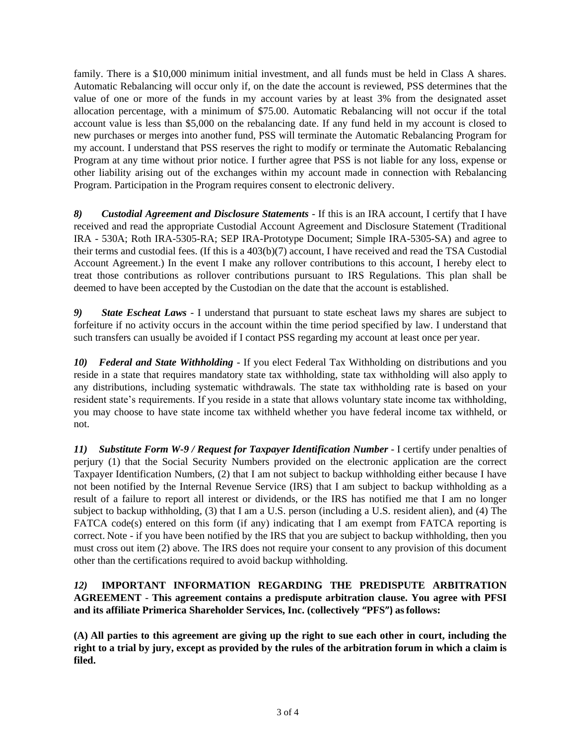family. There is a \$10,000 minimum initial investment, and all funds must be held in Class A shares. Automatic Rebalancing will occur only if, on the date the account is reviewed, PSS determines that the value of one or more of the funds in my account varies by at least 3% from the designated asset allocation percentage, with a minimum of \$75.00. Automatic Rebalancing will not occur if the total account value is less than \$5,000 on the rebalancing date. If any fund held in my account is closed to new purchases or merges into another fund, PSS will terminate the Automatic Rebalancing Program for my account. I understand that PSS reserves the right to modify or terminate the Automatic Rebalancing Program at any time without prior notice. I further agree that PSS is not liable for any loss, expense or other liability arising out of the exchanges within my account made in connection with Rebalancing Program. Participation in the Program requires consent to electronic delivery.

*8) Custodial Agreement and Disclosure Statements* - If this is an IRA account, I certify that I have received and read the appropriate Custodial Account Agreement and Disclosure Statement (Traditional IRA - 530A; Roth IRA-5305-RA; SEP IRA-Prototype Document; Simple IRA-5305-SA) and agree to their terms and custodial fees. (If this is a 403(b)(7) account, I have received and read the TSA Custodial Account Agreement.) In the event I make any rollover contributions to this account, I hereby elect to treat those contributions as rollover contributions pursuant to IRS Regulations. This plan shall be deemed to have been accepted by the Custodian on the date that the account is established.

*9) State Escheat Laws* - I understand that pursuant to state escheat laws my shares are subject to forfeiture if no activity occurs in the account within the time period specified by law. I understand that such transfers can usually be avoided if I contact PSS regarding my account at least once per year.

*10) Federal and State Withholding* - If you elect Federal Tax Withholding on distributions and you reside in a state that requires mandatory state tax withholding, state tax withholding will also apply to any distributions, including systematic withdrawals. The state tax withholding rate is based on your resident state's requirements. If you reside in a state that allows voluntary state income tax withholding, you may choose to have state income tax withheld whether you have federal income tax withheld, or not.

11) *Substitute Form W-9 / Request for Taxpayer Identification Number - I certify under penalties of* perjury (1) that the Social Security Numbers provided on the electronic application are the correct Taxpayer Identification Numbers, (2) that I am not subject to backup withholding either because I have not been notified by the Internal Revenue Service (IRS) that I am subject to backup withholding as a result of a failure to report all interest or dividends, or the IRS has notified me that I am no longer subject to backup withholding, (3) that I am a U.S. person (including a U.S. resident alien), and (4) The FATCA code(s) entered on this form (if any) indicating that I am exempt from FATCA reporting is correct. Note - if you have been notified by the IRS that you are subject to backup withholding, then you must cross out item (2) above. The IRS does not require your consent to any provision of this document other than the certifications required to avoid backup withholding.

## *12)* **IMPORTANT INFORMATION REGARDING THE PREDISPUTE ARBITRATION AGREEMENT** - **This agreement contains a predispute arbitration clause. You agree with PFSI and its affiliate Primerica Shareholder Services, Inc. (collectively "PFS") asfollows:**

**(A) All parties to this agreement are giving up the right to sue each other in court, including the right to a trial by jury, except as provided by the rules of the arbitration forum in which a claim is filed.**